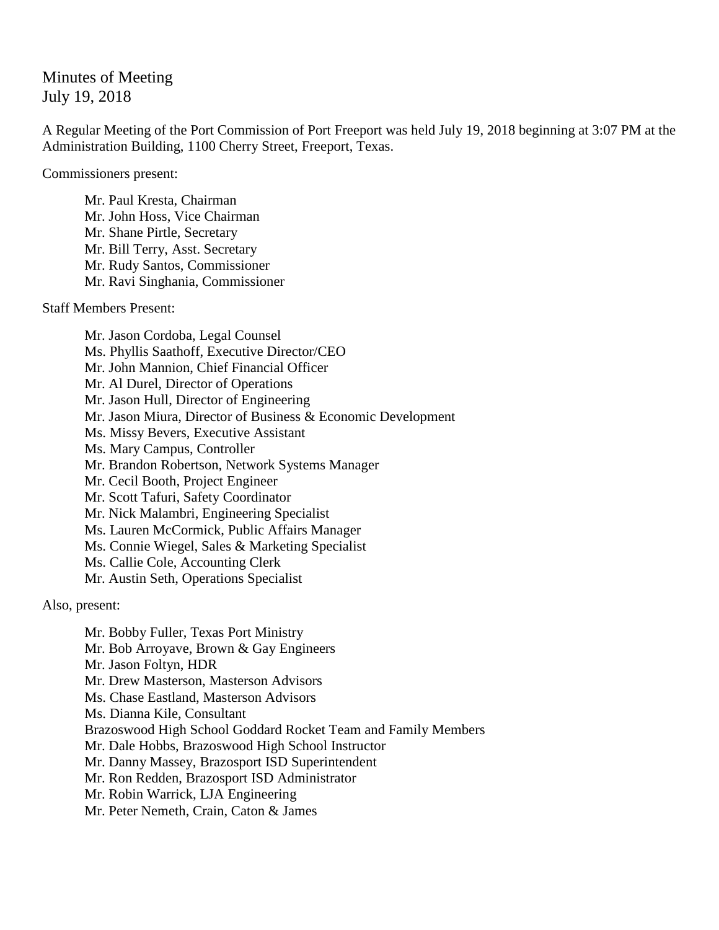## Minutes of Meeting July 19, 2018

A Regular Meeting of the Port Commission of Port Freeport was held July 19, 2018 beginning at 3:07 PM at the Administration Building, 1100 Cherry Street, Freeport, Texas.

Commissioners present:

Mr. Paul Kresta, Chairman Mr. John Hoss, Vice Chairman Mr. Shane Pirtle, Secretary Mr. Bill Terry, Asst. Secretary Mr. Rudy Santos, Commissioner Mr. Ravi Singhania, Commissioner

Staff Members Present:

Mr. Jason Cordoba, Legal Counsel Ms. Phyllis Saathoff, Executive Director/CEO Mr. John Mannion, Chief Financial Officer Mr. Al Durel, Director of Operations Mr. Jason Hull, Director of Engineering Mr. Jason Miura, Director of Business & Economic Development Ms. Missy Bevers, Executive Assistant Ms. Mary Campus, Controller Mr. Brandon Robertson, Network Systems Manager Mr. Cecil Booth, Project Engineer Mr. Scott Tafuri, Safety Coordinator Mr. Nick Malambri, Engineering Specialist Ms. Lauren McCormick, Public Affairs Manager Ms. Connie Wiegel, Sales & Marketing Specialist Ms. Callie Cole, Accounting Clerk Mr. Austin Seth, Operations Specialist

Also, present:

Mr. Bobby Fuller, Texas Port Ministry Mr. Bob Arroyave, Brown & Gay Engineers Mr. Jason Foltyn, HDR Mr. Drew Masterson, Masterson Advisors Ms. Chase Eastland, Masterson Advisors Ms. Dianna Kile, Consultant Brazoswood High School Goddard Rocket Team and Family Members Mr. Dale Hobbs, Brazoswood High School Instructor Mr. Danny Massey, Brazosport ISD Superintendent Mr. Ron Redden, Brazosport ISD Administrator Mr. Robin Warrick, LJA Engineering Mr. Peter Nemeth, Crain, Caton & James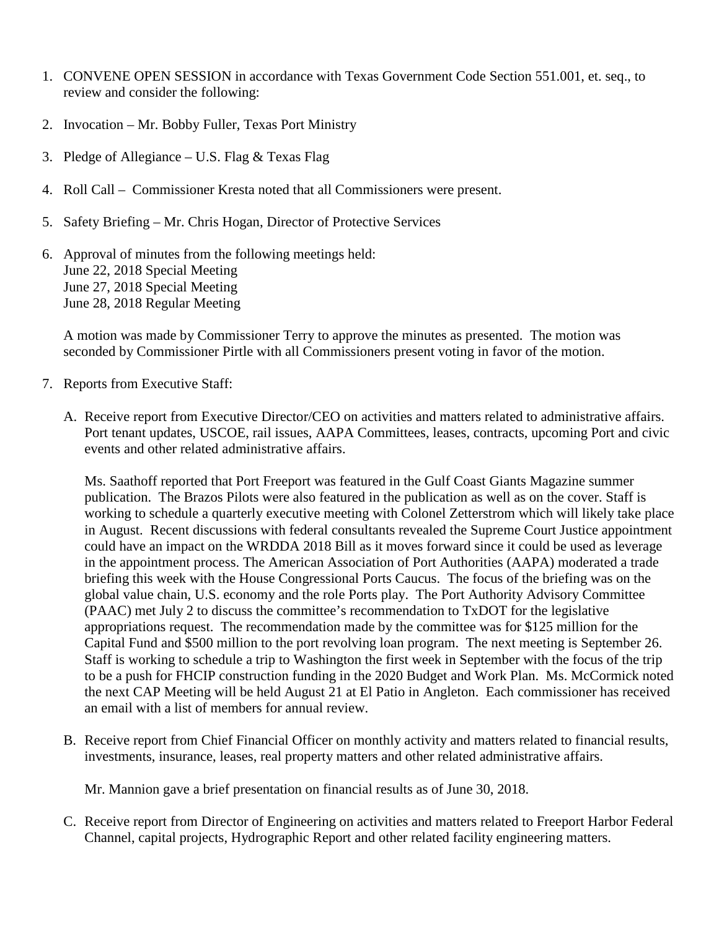- 1. CONVENE OPEN SESSION in accordance with Texas Government Code Section 551.001, et. seq., to review and consider the following:
- 2. Invocation Mr. Bobby Fuller, Texas Port Ministry
- 3. Pledge of Allegiance U.S. Flag & Texas Flag
- 4. Roll Call Commissioner Kresta noted that all Commissioners were present.
- 5. Safety Briefing Mr. Chris Hogan, Director of Protective Services
- 6. Approval of minutes from the following meetings held: June 22, 2018 Special Meeting June 27, 2018 Special Meeting June 28, 2018 Regular Meeting

A motion was made by Commissioner Terry to approve the minutes as presented. The motion was seconded by Commissioner Pirtle with all Commissioners present voting in favor of the motion.

- 7. Reports from Executive Staff:
	- A. Receive report from Executive Director/CEO on activities and matters related to administrative affairs. Port tenant updates, USCOE, rail issues, AAPA Committees, leases, contracts, upcoming Port and civic events and other related administrative affairs.

Ms. Saathoff reported that Port Freeport was featured in the Gulf Coast Giants Magazine summer publication. The Brazos Pilots were also featured in the publication as well as on the cover. Staff is working to schedule a quarterly executive meeting with Colonel Zetterstrom which will likely take place in August. Recent discussions with federal consultants revealed the Supreme Court Justice appointment could have an impact on the WRDDA 2018 Bill as it moves forward since it could be used as leverage in the appointment process. The American Association of Port Authorities (AAPA) moderated a trade briefing this week with the House Congressional Ports Caucus. The focus of the briefing was on the global value chain, U.S. economy and the role Ports play. The Port Authority Advisory Committee (PAAC) met July 2 to discuss the committee's recommendation to TxDOT for the legislative appropriations request. The recommendation made by the committee was for \$125 million for the Capital Fund and \$500 million to the port revolving loan program. The next meeting is September 26. Staff is working to schedule a trip to Washington the first week in September with the focus of the trip to be a push for FHCIP construction funding in the 2020 Budget and Work Plan. Ms. McCormick noted the next CAP Meeting will be held August 21 at El Patio in Angleton. Each commissioner has received an email with a list of members for annual review.

B. Receive report from Chief Financial Officer on monthly activity and matters related to financial results, investments, insurance, leases, real property matters and other related administrative affairs.

Mr. Mannion gave a brief presentation on financial results as of June 30, 2018.

C. Receive report from Director of Engineering on activities and matters related to Freeport Harbor Federal Channel, capital projects, Hydrographic Report and other related facility engineering matters.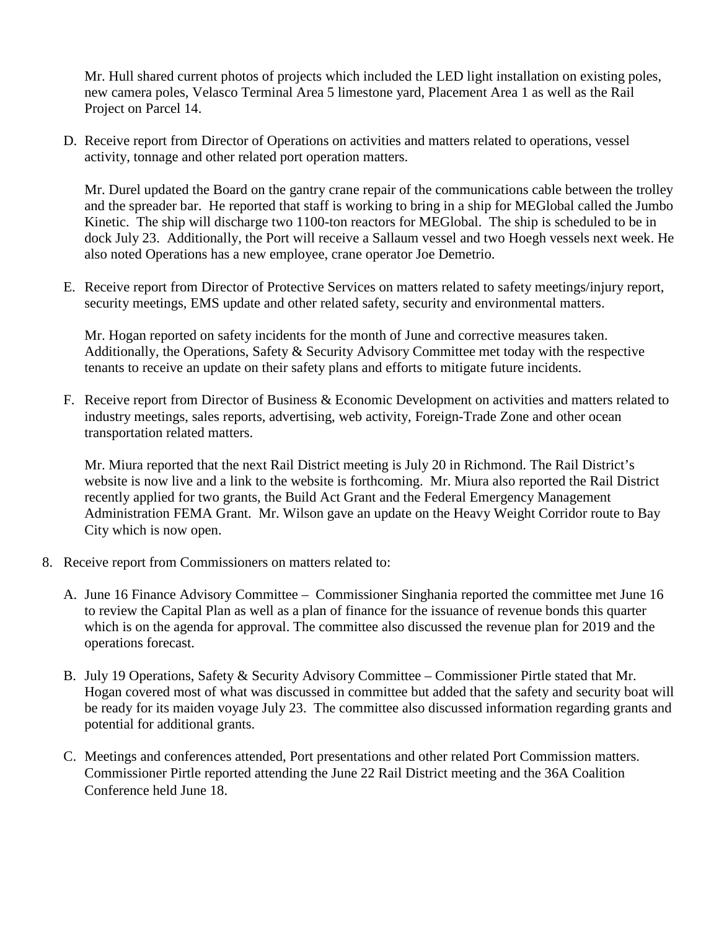Mr. Hull shared current photos of projects which included the LED light installation on existing poles, new camera poles, Velasco Terminal Area 5 limestone yard, Placement Area 1 as well as the Rail Project on Parcel 14.

D. Receive report from Director of Operations on activities and matters related to operations, vessel activity, tonnage and other related port operation matters.

Mr. Durel updated the Board on the gantry crane repair of the communications cable between the trolley and the spreader bar. He reported that staff is working to bring in a ship for MEGlobal called the Jumbo Kinetic. The ship will discharge two 1100-ton reactors for MEGlobal. The ship is scheduled to be in dock July 23. Additionally, the Port will receive a Sallaum vessel and two Hoegh vessels next week. He also noted Operations has a new employee, crane operator Joe Demetrio.

E. Receive report from Director of Protective Services on matters related to safety meetings/injury report, security meetings, EMS update and other related safety, security and environmental matters.

Mr. Hogan reported on safety incidents for the month of June and corrective measures taken. Additionally, the Operations, Safety & Security Advisory Committee met today with the respective tenants to receive an update on their safety plans and efforts to mitigate future incidents.

F. Receive report from Director of Business & Economic Development on activities and matters related to industry meetings, sales reports, advertising, web activity, Foreign-Trade Zone and other ocean transportation related matters.

Mr. Miura reported that the next Rail District meeting is July 20 in Richmond. The Rail District's website is now live and a link to the website is forthcoming. Mr. Miura also reported the Rail District recently applied for two grants, the Build Act Grant and the Federal Emergency Management Administration FEMA Grant. Mr. Wilson gave an update on the Heavy Weight Corridor route to Bay City which is now open.

- 8. Receive report from Commissioners on matters related to:
	- A. June 16 Finance Advisory Committee Commissioner Singhania reported the committee met June 16 to review the Capital Plan as well as a plan of finance for the issuance of revenue bonds this quarter which is on the agenda for approval. The committee also discussed the revenue plan for 2019 and the operations forecast.
	- B. July 19 Operations, Safety & Security Advisory Committee Commissioner Pirtle stated that Mr. Hogan covered most of what was discussed in committee but added that the safety and security boat will be ready for its maiden voyage July 23. The committee also discussed information regarding grants and potential for additional grants.
	- C. Meetings and conferences attended, Port presentations and other related Port Commission matters. Commissioner Pirtle reported attending the June 22 Rail District meeting and the 36A Coalition Conference held June 18.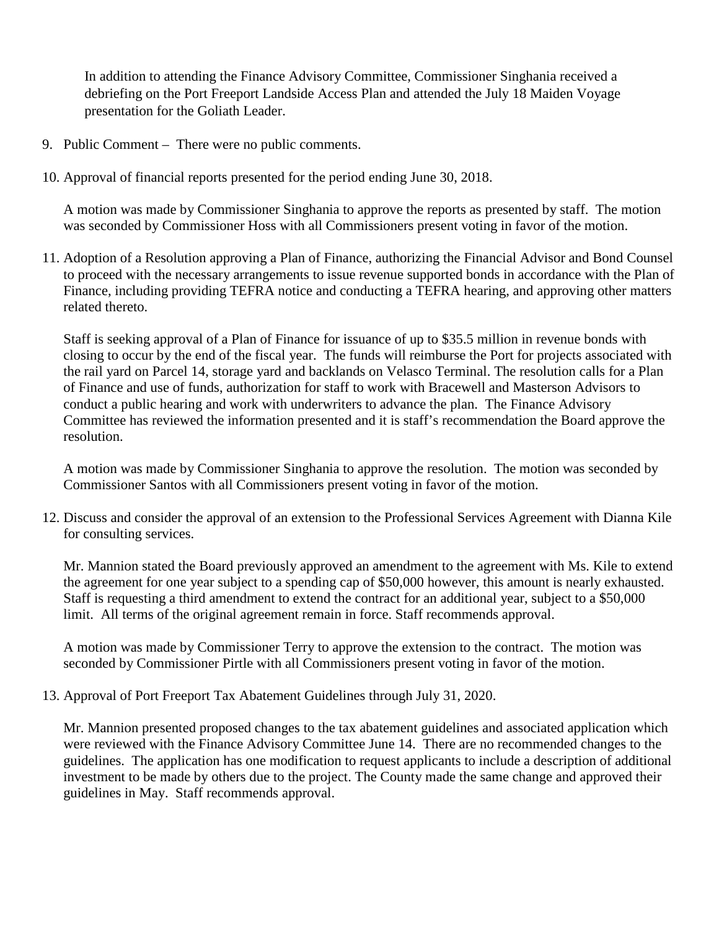In addition to attending the Finance Advisory Committee, Commissioner Singhania received a debriefing on the Port Freeport Landside Access Plan and attended the July 18 Maiden Voyage presentation for the Goliath Leader.

- 9. Public Comment There were no public comments.
- 10. Approval of financial reports presented for the period ending June 30, 2018.

A motion was made by Commissioner Singhania to approve the reports as presented by staff. The motion was seconded by Commissioner Hoss with all Commissioners present voting in favor of the motion.

11. Adoption of a Resolution approving a Plan of Finance, authorizing the Financial Advisor and Bond Counsel to proceed with the necessary arrangements to issue revenue supported bonds in accordance with the Plan of Finance, including providing TEFRA notice and conducting a TEFRA hearing, and approving other matters related thereto.

Staff is seeking approval of a Plan of Finance for issuance of up to \$35.5 million in revenue bonds with closing to occur by the end of the fiscal year. The funds will reimburse the Port for projects associated with the rail yard on Parcel 14, storage yard and backlands on Velasco Terminal. The resolution calls for a Plan of Finance and use of funds, authorization for staff to work with Bracewell and Masterson Advisors to conduct a public hearing and work with underwriters to advance the plan. The Finance Advisory Committee has reviewed the information presented and it is staff's recommendation the Board approve the resolution.

A motion was made by Commissioner Singhania to approve the resolution. The motion was seconded by Commissioner Santos with all Commissioners present voting in favor of the motion.

12. Discuss and consider the approval of an extension to the Professional Services Agreement with Dianna Kile for consulting services.

Mr. Mannion stated the Board previously approved an amendment to the agreement with Ms. Kile to extend the agreement for one year subject to a spending cap of \$50,000 however, this amount is nearly exhausted. Staff is requesting a third amendment to extend the contract for an additional year, subject to a \$50,000 limit. All terms of the original agreement remain in force. Staff recommends approval.

A motion was made by Commissioner Terry to approve the extension to the contract. The motion was seconded by Commissioner Pirtle with all Commissioners present voting in favor of the motion.

13. Approval of Port Freeport Tax Abatement Guidelines through July 31, 2020.

Mr. Mannion presented proposed changes to the tax abatement guidelines and associated application which were reviewed with the Finance Advisory Committee June 14. There are no recommended changes to the guidelines. The application has one modification to request applicants to include a description of additional investment to be made by others due to the project. The County made the same change and approved their guidelines in May. Staff recommends approval.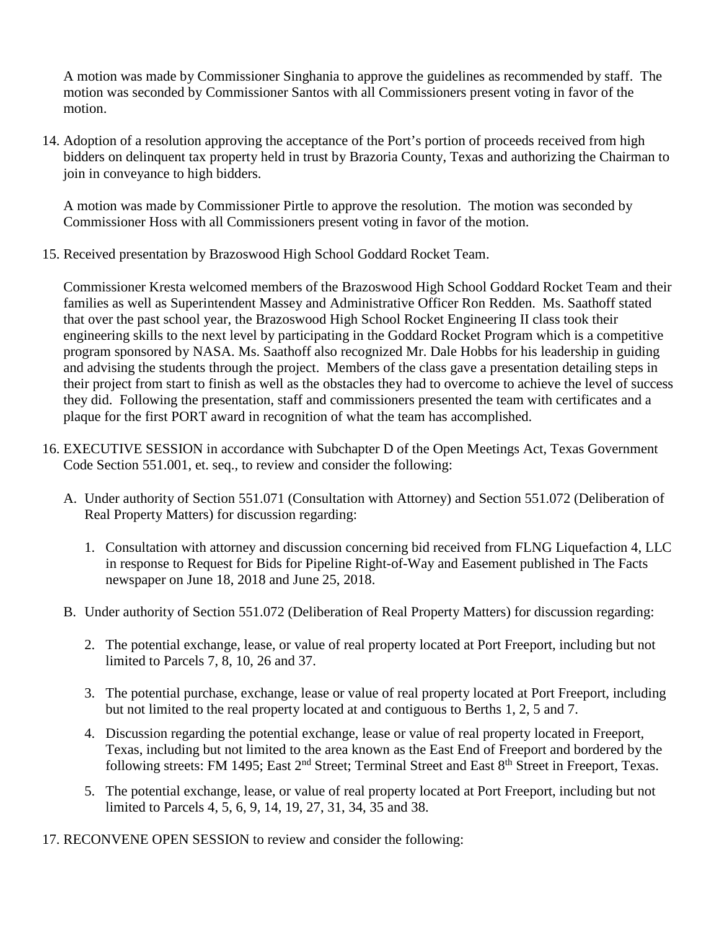A motion was made by Commissioner Singhania to approve the guidelines as recommended by staff. The motion was seconded by Commissioner Santos with all Commissioners present voting in favor of the motion.

14. Adoption of a resolution approving the acceptance of the Port's portion of proceeds received from high bidders on delinquent tax property held in trust by Brazoria County, Texas and authorizing the Chairman to join in conveyance to high bidders.

A motion was made by Commissioner Pirtle to approve the resolution. The motion was seconded by Commissioner Hoss with all Commissioners present voting in favor of the motion.

15. Received presentation by Brazoswood High School Goddard Rocket Team.

Commissioner Kresta welcomed members of the Brazoswood High School Goddard Rocket Team and their families as well as Superintendent Massey and Administrative Officer Ron Redden. Ms. Saathoff stated that over the past school year, the Brazoswood High School Rocket Engineering II class took their engineering skills to the next level by participating in the Goddard Rocket Program which is a competitive program sponsored by NASA. Ms. Saathoff also recognized Mr. Dale Hobbs for his leadership in guiding and advising the students through the project. Members of the class gave a presentation detailing steps in their project from start to finish as well as the obstacles they had to overcome to achieve the level of success they did. Following the presentation, staff and commissioners presented the team with certificates and a plaque for the first PORT award in recognition of what the team has accomplished.

- 16. EXECUTIVE SESSION in accordance with Subchapter D of the Open Meetings Act, Texas Government Code Section 551.001, et. seq., to review and consider the following:
	- A. Under authority of Section 551.071 (Consultation with Attorney) and Section 551.072 (Deliberation of Real Property Matters) for discussion regarding:
		- 1. Consultation with attorney and discussion concerning bid received from FLNG Liquefaction 4, LLC in response to Request for Bids for Pipeline Right-of-Way and Easement published in The Facts newspaper on June 18, 2018 and June 25, 2018.
	- B. Under authority of Section 551.072 (Deliberation of Real Property Matters) for discussion regarding:
		- 2. The potential exchange, lease, or value of real property located at Port Freeport, including but not limited to Parcels 7, 8, 10, 26 and 37.
		- 3. The potential purchase, exchange, lease or value of real property located at Port Freeport, including but not limited to the real property located at and contiguous to Berths 1, 2, 5 and 7.
		- 4. Discussion regarding the potential exchange, lease or value of real property located in Freeport, Texas, including but not limited to the area known as the East End of Freeport and bordered by the following streets: FM 1495; East 2<sup>nd</sup> Street; Terminal Street and East 8<sup>th</sup> Street in Freeport, Texas.
		- 5. The potential exchange, lease, or value of real property located at Port Freeport, including but not limited to Parcels 4, 5, 6, 9, 14, 19, 27, 31, 34, 35 and 38.
- 17. RECONVENE OPEN SESSION to review and consider the following: